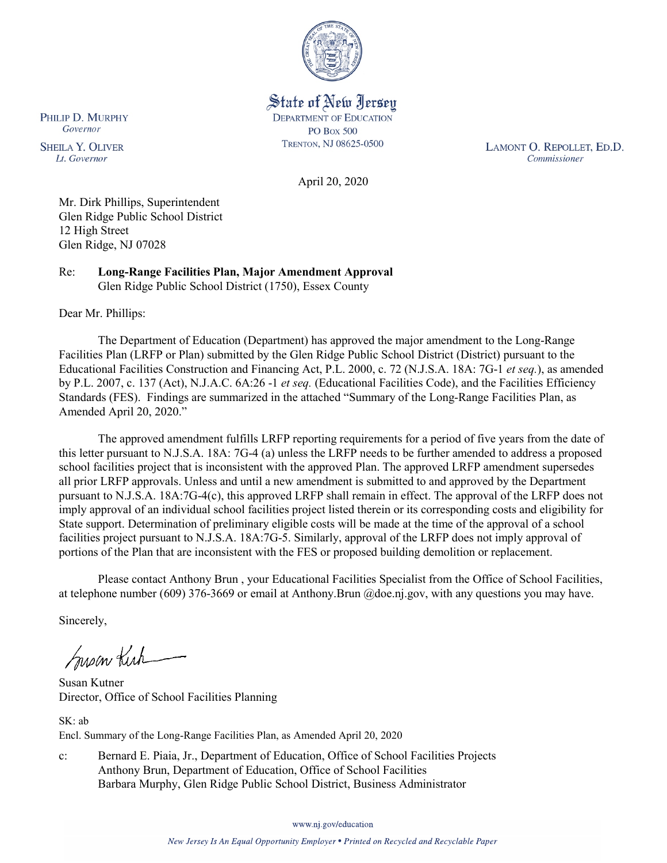

State of New Jersey **DEPARTMENT OF EDUCATION PO Box 500** TRENTON, NJ 08625-0500

LAMONT O. REPOLLET, ED.D. Commissioner

April 20, 2020

Mr. Dirk Phillips, Superintendent Glen Ridge Public School District 12 High Street Glen Ridge, NJ 07028

Re: **Long-Range Facilities Plan, Major Amendment Approval** Glen Ridge Public School District (1750), Essex County

Dear Mr. Phillips:

PHILIP D. MURPHY Governor

**SHEILA Y. OLIVER** 

Lt. Governor

The Department of Education (Department) has approved the major amendment to the Long-Range Facilities Plan (LRFP or Plan) submitted by the Glen Ridge Public School District (District) pursuant to the Educational Facilities Construction and Financing Act, P.L. 2000, c. 72 (N.J.S.A. 18A: 7G-1 *et seq.*), as amended by P.L. 2007, c. 137 (Act), N.J.A.C. 6A:26 -1 *et seq.* (Educational Facilities Code), and the Facilities Efficiency Standards (FES). Findings are summarized in the attached "Summary of the Long-Range Facilities Plan, as Amended April 20, 2020."

The approved amendment fulfills LRFP reporting requirements for a period of five years from the date of this letter pursuant to N.J.S.A. 18A: 7G-4 (a) unless the LRFP needs to be further amended to address a proposed school facilities project that is inconsistent with the approved Plan. The approved LRFP amendment supersedes all prior LRFP approvals. Unless and until a new amendment is submitted to and approved by the Department pursuant to N.J.S.A. 18A:7G-4(c), this approved LRFP shall remain in effect. The approval of the LRFP does not imply approval of an individual school facilities project listed therein or its corresponding costs and eligibility for State support. Determination of preliminary eligible costs will be made at the time of the approval of a school facilities project pursuant to N.J.S.A. 18A:7G-5. Similarly, approval of the LRFP does not imply approval of portions of the Plan that are inconsistent with the FES or proposed building demolition or replacement.

Please contact Anthony Brun , your Educational Facilities Specialist from the Office of School Facilities, at telephone number (609) 376-3669 or email at Anthony.Brun @doe.nj.gov, with any questions you may have.

Sincerely,

Susan Kich

Susan Kutner Director, Office of School Facilities Planning

SK: ab Encl. Summary of the Long-Range Facilities Plan, as Amended April 20, 2020

c: Bernard E. Piaia, Jr., Department of Education, Office of School Facilities Projects Anthony Brun, Department of Education, Office of School Facilities Barbara Murphy, Glen Ridge Public School District, Business Administrator

www.nj.gov/education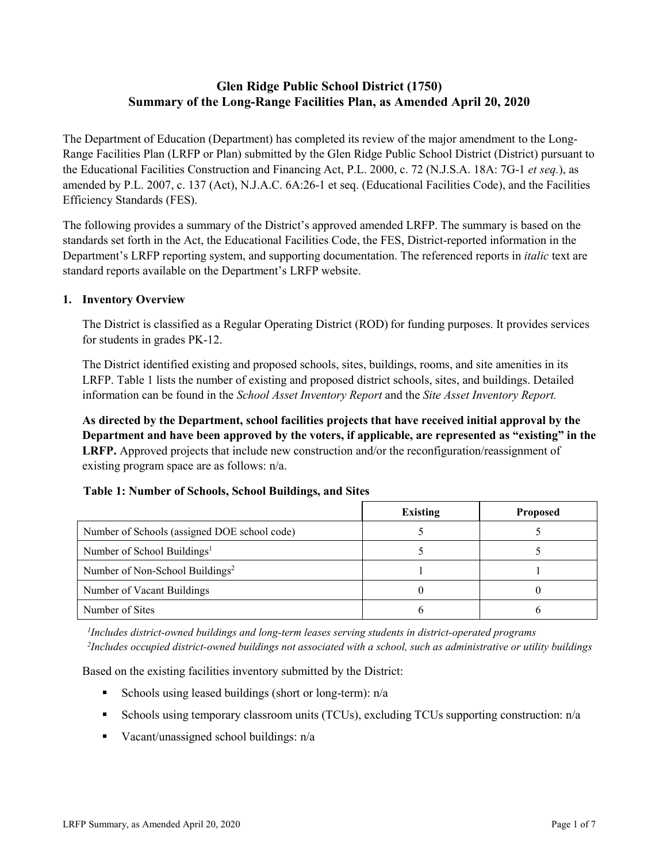# **Glen Ridge Public School District (1750) Summary of the Long-Range Facilities Plan, as Amended April 20, 2020**

The Department of Education (Department) has completed its review of the major amendment to the Long-Range Facilities Plan (LRFP or Plan) submitted by the Glen Ridge Public School District (District) pursuant to the Educational Facilities Construction and Financing Act, P.L. 2000, c. 72 (N.J.S.A. 18A: 7G-1 *et seq.*), as amended by P.L. 2007, c. 137 (Act), N.J.A.C. 6A:26-1 et seq. (Educational Facilities Code), and the Facilities Efficiency Standards (FES).

The following provides a summary of the District's approved amended LRFP. The summary is based on the standards set forth in the Act, the Educational Facilities Code, the FES, District-reported information in the Department's LRFP reporting system, and supporting documentation. The referenced reports in *italic* text are standard reports available on the Department's LRFP website.

#### **1. Inventory Overview**

The District is classified as a Regular Operating District (ROD) for funding purposes. It provides services for students in grades PK-12.

The District identified existing and proposed schools, sites, buildings, rooms, and site amenities in its LRFP. Table 1 lists the number of existing and proposed district schools, sites, and buildings. Detailed information can be found in the *School Asset Inventory Report* and the *Site Asset Inventory Report.*

**As directed by the Department, school facilities projects that have received initial approval by the Department and have been approved by the voters, if applicable, are represented as "existing" in the LRFP.** Approved projects that include new construction and/or the reconfiguration/reassignment of existing program space are as follows: n/a.

## **Table 1: Number of Schools, School Buildings, and Sites**

|                                              | Existing | <b>Proposed</b> |
|----------------------------------------------|----------|-----------------|
| Number of Schools (assigned DOE school code) |          |                 |
| Number of School Buildings <sup>1</sup>      |          |                 |
| Number of Non-School Buildings <sup>2</sup>  |          |                 |
| Number of Vacant Buildings                   |          |                 |
| Number of Sites                              |          |                 |

*1 Includes district-owned buildings and long-term leases serving students in district-operated programs 2 Includes occupied district-owned buildings not associated with a school, such as administrative or utility buildings*

Based on the existing facilities inventory submitted by the District:

- Schools using leased buildings (short or long-term):  $n/a$
- Schools using temporary classroom units (TCUs), excluding TCUs supporting construction: n/a
- Vacant/unassigned school buildings:  $n/a$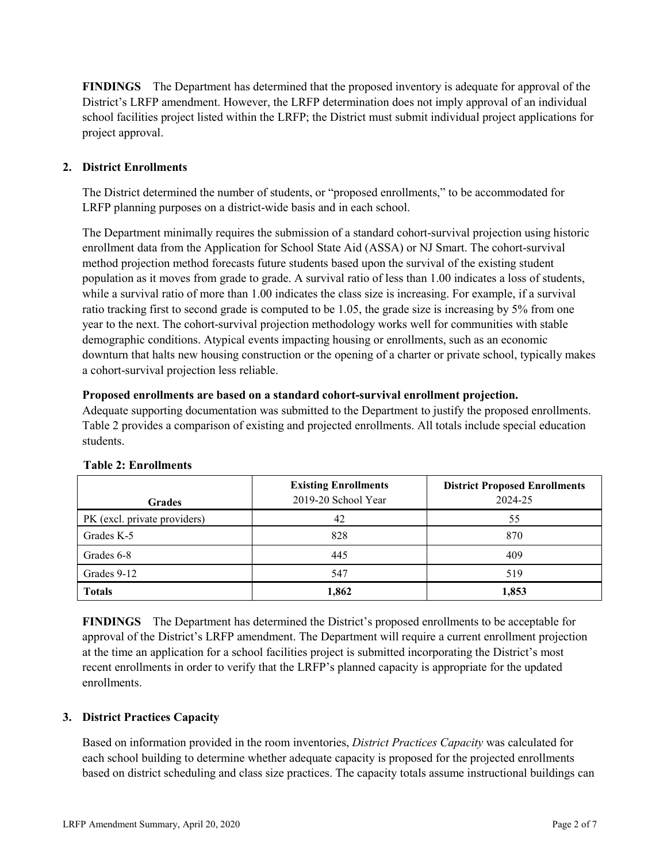**FINDINGS** The Department has determined that the proposed inventory is adequate for approval of the District's LRFP amendment. However, the LRFP determination does not imply approval of an individual school facilities project listed within the LRFP; the District must submit individual project applications for project approval.

## **2. District Enrollments**

The District determined the number of students, or "proposed enrollments," to be accommodated for LRFP planning purposes on a district-wide basis and in each school.

The Department minimally requires the submission of a standard cohort-survival projection using historic enrollment data from the Application for School State Aid (ASSA) or NJ Smart. The cohort-survival method projection method forecasts future students based upon the survival of the existing student population as it moves from grade to grade. A survival ratio of less than 1.00 indicates a loss of students, while a survival ratio of more than 1.00 indicates the class size is increasing. For example, if a survival ratio tracking first to second grade is computed to be 1.05, the grade size is increasing by 5% from one year to the next. The cohort-survival projection methodology works well for communities with stable demographic conditions. Atypical events impacting housing or enrollments, such as an economic downturn that halts new housing construction or the opening of a charter or private school, typically makes a cohort-survival projection less reliable.

#### **Proposed enrollments are based on a standard cohort-survival enrollment projection.**

Adequate supporting documentation was submitted to the Department to justify the proposed enrollments. Table 2 provides a comparison of existing and projected enrollments. All totals include special education students.

| <b>Grades</b>                | <b>Existing Enrollments</b><br>2019-20 School Year | <b>District Proposed Enrollments</b><br>2024-25 |
|------------------------------|----------------------------------------------------|-------------------------------------------------|
| PK (excl. private providers) | 42                                                 | 55                                              |
| Grades K-5                   | 828                                                | 870                                             |
| Grades 6-8                   | 445                                                | 409                                             |
| Grades 9-12                  | 547                                                | 519                                             |
| <b>Totals</b>                | 1,862                                              | 1,853                                           |

#### **Table 2: Enrollments**

**FINDINGS** The Department has determined the District's proposed enrollments to be acceptable for approval of the District's LRFP amendment. The Department will require a current enrollment projection at the time an application for a school facilities project is submitted incorporating the District's most recent enrollments in order to verify that the LRFP's planned capacity is appropriate for the updated enrollments.

## **3. District Practices Capacity**

Based on information provided in the room inventories, *District Practices Capacity* was calculated for each school building to determine whether adequate capacity is proposed for the projected enrollments based on district scheduling and class size practices. The capacity totals assume instructional buildings can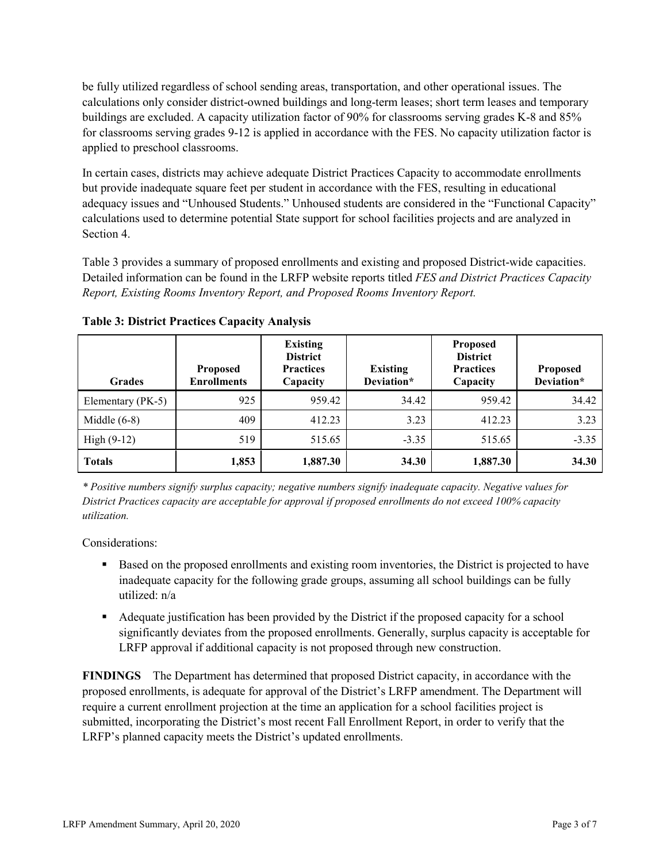be fully utilized regardless of school sending areas, transportation, and other operational issues. The calculations only consider district-owned buildings and long-term leases; short term leases and temporary buildings are excluded. A capacity utilization factor of 90% for classrooms serving grades K-8 and 85% for classrooms serving grades 9-12 is applied in accordance with the FES. No capacity utilization factor is applied to preschool classrooms.

In certain cases, districts may achieve adequate District Practices Capacity to accommodate enrollments but provide inadequate square feet per student in accordance with the FES, resulting in educational adequacy issues and "Unhoused Students." Unhoused students are considered in the "Functional Capacity" calculations used to determine potential State support for school facilities projects and are analyzed in Section 4.

Table 3 provides a summary of proposed enrollments and existing and proposed District-wide capacities. Detailed information can be found in the LRFP website reports titled *FES and District Practices Capacity Report, Existing Rooms Inventory Report, and Proposed Rooms Inventory Report.*

| <b>Grades</b>     | <b>Proposed</b><br><b>Enrollments</b> | <b>Existing</b><br><b>District</b><br><b>Practices</b><br>Capacity | <b>Existing</b><br>Deviation* | <b>Proposed</b><br><b>District</b><br><b>Practices</b><br>Capacity | <b>Proposed</b><br>Deviation* |
|-------------------|---------------------------------------|--------------------------------------------------------------------|-------------------------------|--------------------------------------------------------------------|-------------------------------|
| Elementary (PK-5) | 925                                   | 959.42                                                             | 34.42                         | 959.42                                                             | 34.42                         |
| Middle $(6-8)$    | 409                                   | 412.23                                                             | 3.23                          | 412.23                                                             | 3.23                          |
| High $(9-12)$     | 519                                   | 515.65                                                             | $-3.35$                       | 515.65                                                             | $-3.35$                       |
| <b>Totals</b>     | 1,853                                 | 1,887.30                                                           | 34.30                         | 1,887.30                                                           | 34.30                         |

**Table 3: District Practices Capacity Analysis**

*\* Positive numbers signify surplus capacity; negative numbers signify inadequate capacity. Negative values for District Practices capacity are acceptable for approval if proposed enrollments do not exceed 100% capacity utilization.*

Considerations:

- **Based on the proposed enrollments and existing room inventories, the District is projected to have** inadequate capacity for the following grade groups, assuming all school buildings can be fully utilized: n/a
- Adequate justification has been provided by the District if the proposed capacity for a school significantly deviates from the proposed enrollments. Generally, surplus capacity is acceptable for LRFP approval if additional capacity is not proposed through new construction.

**FINDINGS**The Department has determined that proposed District capacity, in accordance with the proposed enrollments, is adequate for approval of the District's LRFP amendment. The Department will require a current enrollment projection at the time an application for a school facilities project is submitted, incorporating the District's most recent Fall Enrollment Report, in order to verify that the LRFP's planned capacity meets the District's updated enrollments.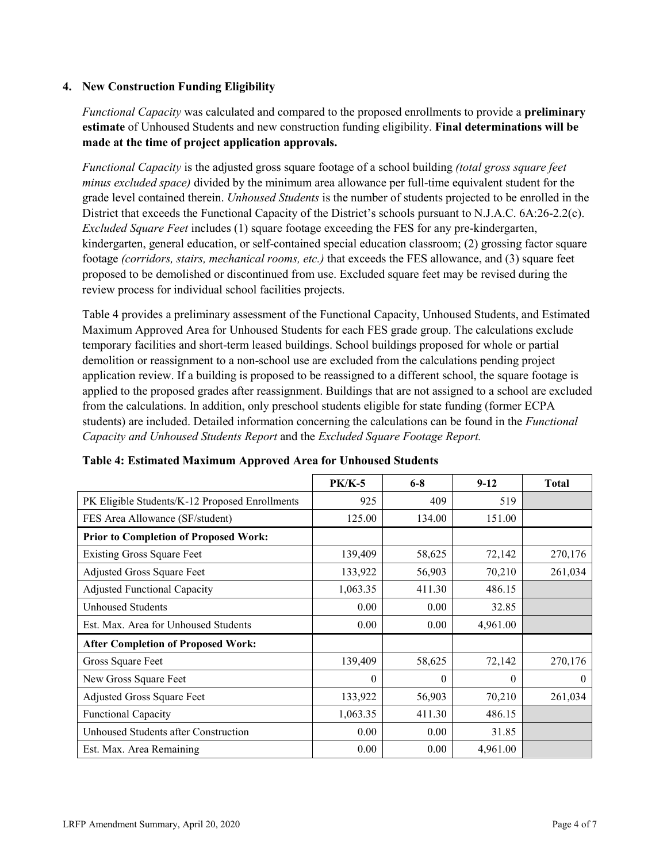### **4. New Construction Funding Eligibility**

*Functional Capacity* was calculated and compared to the proposed enrollments to provide a **preliminary estimate** of Unhoused Students and new construction funding eligibility. **Final determinations will be made at the time of project application approvals.**

*Functional Capacity* is the adjusted gross square footage of a school building *(total gross square feet minus excluded space)* divided by the minimum area allowance per full-time equivalent student for the grade level contained therein. *Unhoused Students* is the number of students projected to be enrolled in the District that exceeds the Functional Capacity of the District's schools pursuant to N.J.A.C. 6A:26-2.2(c). *Excluded Square Feet* includes (1) square footage exceeding the FES for any pre-kindergarten, kindergarten, general education, or self-contained special education classroom; (2) grossing factor square footage *(corridors, stairs, mechanical rooms, etc.)* that exceeds the FES allowance, and (3) square feet proposed to be demolished or discontinued from use. Excluded square feet may be revised during the review process for individual school facilities projects.

Table 4 provides a preliminary assessment of the Functional Capacity, Unhoused Students, and Estimated Maximum Approved Area for Unhoused Students for each FES grade group. The calculations exclude temporary facilities and short-term leased buildings. School buildings proposed for whole or partial demolition or reassignment to a non-school use are excluded from the calculations pending project application review. If a building is proposed to be reassigned to a different school, the square footage is applied to the proposed grades after reassignment. Buildings that are not assigned to a school are excluded from the calculations. In addition, only preschool students eligible for state funding (former ECPA students) are included. Detailed information concerning the calculations can be found in the *Functional Capacity and Unhoused Students Report* and the *Excluded Square Footage Report.*

|                                                | <b>PK/K-5</b> | $6 - 8$  | $9 - 12$ | <b>Total</b> |
|------------------------------------------------|---------------|----------|----------|--------------|
| PK Eligible Students/K-12 Proposed Enrollments | 925           | 409      | 519      |              |
| FES Area Allowance (SF/student)                | 125.00        | 134.00   | 151.00   |              |
| <b>Prior to Completion of Proposed Work:</b>   |               |          |          |              |
| <b>Existing Gross Square Feet</b>              | 139,409       | 58,625   | 72,142   | 270,176      |
| Adjusted Gross Square Feet                     | 133,922       | 56,903   | 70,210   | 261,034      |
| <b>Adjusted Functional Capacity</b>            | 1,063.35      | 411.30   | 486.15   |              |
| Unhoused Students                              | 0.00          | 0.00     | 32.85    |              |
| Est. Max. Area for Unhoused Students           | 0.00          | 0.00     | 4,961.00 |              |
| <b>After Completion of Proposed Work:</b>      |               |          |          |              |
| Gross Square Feet                              | 139,409       | 58,625   | 72,142   | 270,176      |
| New Gross Square Feet                          | $\theta$      | $\theta$ | $\theta$ | $\theta$     |
| Adjusted Gross Square Feet                     | 133,922       | 56,903   | 70,210   | 261,034      |
| Functional Capacity                            | 1,063.35      | 411.30   | 486.15   |              |
| Unhoused Students after Construction           | 0.00          | 0.00     | 31.85    |              |
| Est. Max. Area Remaining                       | 0.00          | 0.00     | 4,961.00 |              |

**Table 4: Estimated Maximum Approved Area for Unhoused Students**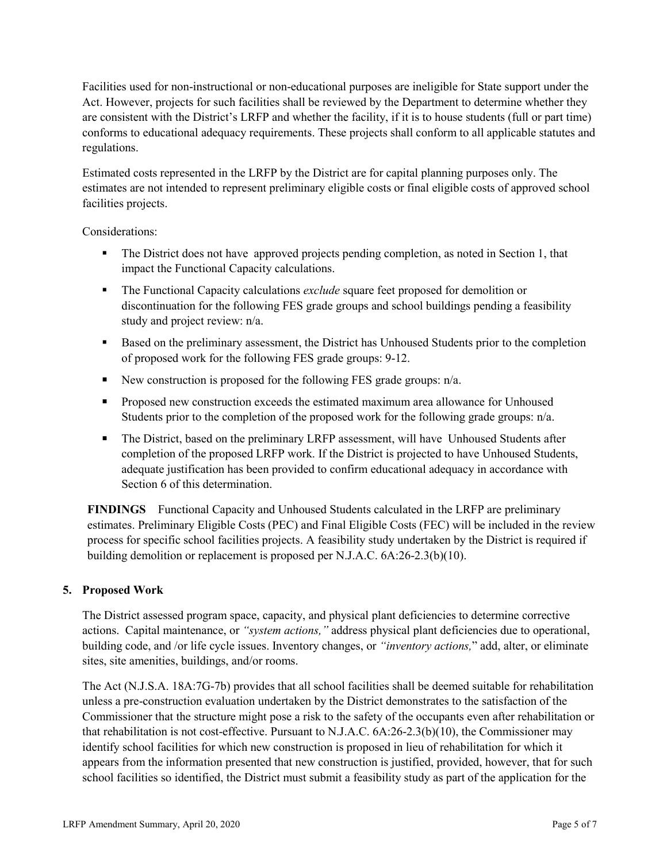Facilities used for non-instructional or non-educational purposes are ineligible for State support under the Act. However, projects for such facilities shall be reviewed by the Department to determine whether they are consistent with the District's LRFP and whether the facility, if it is to house students (full or part time) conforms to educational adequacy requirements. These projects shall conform to all applicable statutes and regulations.

Estimated costs represented in the LRFP by the District are for capital planning purposes only. The estimates are not intended to represent preliminary eligible costs or final eligible costs of approved school facilities projects.

Considerations:

- The District does not have approved projects pending completion, as noted in Section 1, that impact the Functional Capacity calculations.
- The Functional Capacity calculations *exclude* square feet proposed for demolition or discontinuation for the following FES grade groups and school buildings pending a feasibility study and project review: n/a.
- Based on the preliminary assessment, the District has Unhoused Students prior to the completion of proposed work for the following FES grade groups: 9-12.
- New construction is proposed for the following FES grade groups:  $n/a$ .
- **Proposed new construction exceeds the estimated maximum area allowance for Unhoused** Students prior to the completion of the proposed work for the following grade groups:  $n/a$ .
- The District, based on the preliminary LRFP assessment, will have Unhoused Students after completion of the proposed LRFP work. If the District is projected to have Unhoused Students, adequate justification has been provided to confirm educational adequacy in accordance with Section 6 of this determination.

**FINDINGS** Functional Capacity and Unhoused Students calculated in the LRFP are preliminary estimates. Preliminary Eligible Costs (PEC) and Final Eligible Costs (FEC) will be included in the review process for specific school facilities projects. A feasibility study undertaken by the District is required if building demolition or replacement is proposed per N.J.A.C. 6A:26-2.3(b)(10).

## **5. Proposed Work**

The District assessed program space, capacity, and physical plant deficiencies to determine corrective actions. Capital maintenance, or *"system actions,"* address physical plant deficiencies due to operational, building code, and /or life cycle issues. Inventory changes, or *"inventory actions,*" add, alter, or eliminate sites, site amenities, buildings, and/or rooms.

The Act (N.J.S.A. 18A:7G-7b) provides that all school facilities shall be deemed suitable for rehabilitation unless a pre-construction evaluation undertaken by the District demonstrates to the satisfaction of the Commissioner that the structure might pose a risk to the safety of the occupants even after rehabilitation or that rehabilitation is not cost-effective. Pursuant to N.J.A.C. 6A:26-2.3(b)(10), the Commissioner may identify school facilities for which new construction is proposed in lieu of rehabilitation for which it appears from the information presented that new construction is justified, provided, however, that for such school facilities so identified, the District must submit a feasibility study as part of the application for the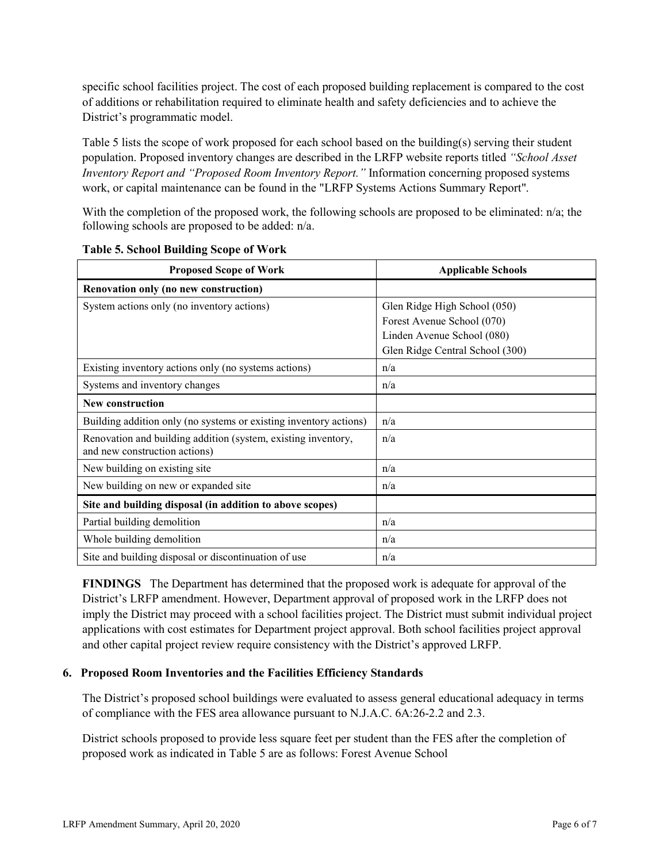specific school facilities project. The cost of each proposed building replacement is compared to the cost of additions or rehabilitation required to eliminate health and safety deficiencies and to achieve the District's programmatic model.

Table 5 lists the scope of work proposed for each school based on the building(s) serving their student population. Proposed inventory changes are described in the LRFP website reports titled *"School Asset Inventory Report and "Proposed Room Inventory Report."* Information concerning proposed systems work, or capital maintenance can be found in the "LRFP Systems Actions Summary Report".

With the completion of the proposed work, the following schools are proposed to be eliminated: n/a; the following schools are proposed to be added: n/a.

| <b>Proposed Scope of Work</b>                                                                  | <b>Applicable Schools</b>       |
|------------------------------------------------------------------------------------------------|---------------------------------|
| Renovation only (no new construction)                                                          |                                 |
| System actions only (no inventory actions)                                                     | Glen Ridge High School (050)    |
|                                                                                                | Forest Avenue School (070)      |
|                                                                                                | Linden Avenue School (080)      |
|                                                                                                | Glen Ridge Central School (300) |
| Existing inventory actions only (no systems actions)                                           | n/a                             |
| Systems and inventory changes                                                                  | n/a                             |
| <b>New construction</b>                                                                        |                                 |
| Building addition only (no systems or existing inventory actions)                              | n/a                             |
| Renovation and building addition (system, existing inventory,<br>and new construction actions) | n/a                             |
| New building on existing site                                                                  | n/a                             |
| New building on new or expanded site                                                           | n/a                             |
| Site and building disposal (in addition to above scopes)                                       |                                 |
| Partial building demolition                                                                    | n/a                             |
| Whole building demolition                                                                      | n/a                             |
| Site and building disposal or discontinuation of use                                           | n/a                             |

|  |  | <b>Table 5. School Building Scope of Work</b> |  |  |  |
|--|--|-----------------------------------------------|--|--|--|
|--|--|-----------------------------------------------|--|--|--|

**FINDINGS** The Department has determined that the proposed work is adequate for approval of the District's LRFP amendment. However, Department approval of proposed work in the LRFP does not imply the District may proceed with a school facilities project. The District must submit individual project applications with cost estimates for Department project approval. Both school facilities project approval and other capital project review require consistency with the District's approved LRFP.

#### **6. Proposed Room Inventories and the Facilities Efficiency Standards**

The District's proposed school buildings were evaluated to assess general educational adequacy in terms of compliance with the FES area allowance pursuant to N.J.A.C. 6A:26-2.2 and 2.3.

District schools proposed to provide less square feet per student than the FES after the completion of proposed work as indicated in Table 5 are as follows: Forest Avenue School